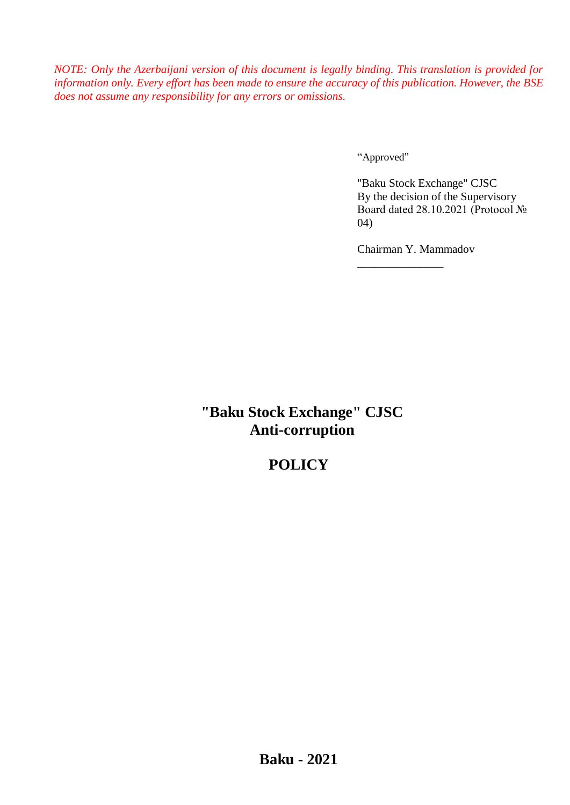*NOTE: Only the Azerbaijani version of this document is legally binding. This translation is provided for information only. Every effort has been made to ensure the accuracy of this publication. However, the BSE does not assume any responsibility for any errors or omissions.*

"Approved"

"Baku Stock Exchange" CJSC By the decision of the Supervisory Board dated 28.10.2021 (Protocol № 04)

Chairman Y. Mammadov

\_\_\_\_\_\_\_\_\_\_\_\_\_\_\_

**"Baku Stock Exchange" CJSC Anti-corruption**

# **POLICY**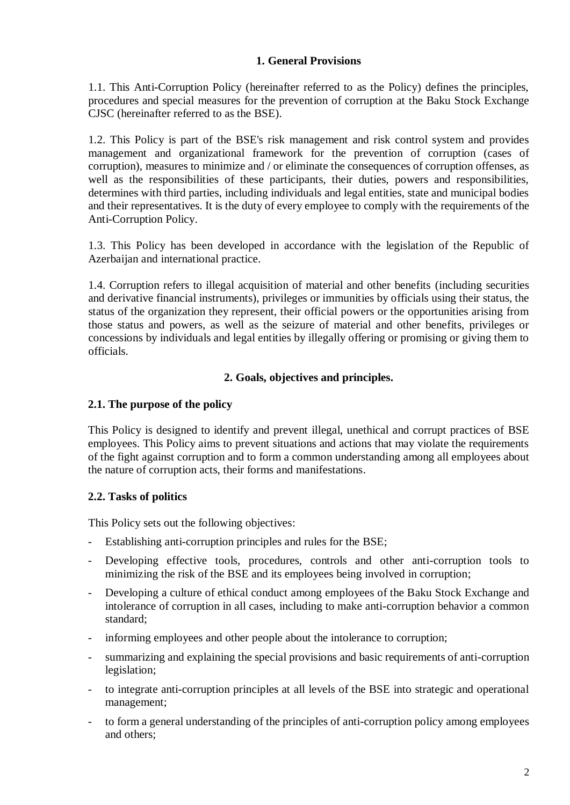### **1. General Provisions**

1.1. This Anti-Corruption Policy (hereinafter referred to as the Policy) defines the principles, procedures and special measures for the prevention of corruption at the Baku Stock Exchange CJSC (hereinafter referred to as the BSE).

1.2. This Policy is part of the BSE's risk management and risk control system and provides management and organizational framework for the prevention of corruption (cases of corruption), measures to minimize and / or eliminate the consequences of corruption offenses, as well as the responsibilities of these participants, their duties, powers and responsibilities, determines with third parties, including individuals and legal entities, state and municipal bodies and their representatives. It is the duty of every employee to comply with the requirements of the Anti-Corruption Policy.

1.3. This Policy has been developed in accordance with the legislation of the Republic of Azerbaijan and international practice.

1.4. Corruption refers to illegal acquisition of material and other benefits (including securities and derivative financial instruments), privileges or immunities by officials using their status, the status of the organization they represent, their official powers or the opportunities arising from those status and powers, as well as the seizure of material and other benefits, privileges or concessions by individuals and legal entities by illegally offering or promising or giving them to officials.

### **2. Goals, objectives and principles.**

#### **2.1. The purpose of the policy**

This Policy is designed to identify and prevent illegal, unethical and corrupt practices of BSE employees. This Policy aims to prevent situations and actions that may violate the requirements of the fight against corruption and to form a common understanding among all employees about the nature of corruption acts, their forms and manifestations.

#### **2.2. Tasks of politics**

This Policy sets out the following objectives:

- Establishing anti-corruption principles and rules for the BSE;
- Developing effective tools, procedures, controls and other anti-corruption tools to minimizing the risk of the BSE and its employees being involved in corruption;
- Developing a culture of ethical conduct among employees of the Baku Stock Exchange and intolerance of corruption in all cases, including to make anti-corruption behavior a common standard;
- informing employees and other people about the intolerance to corruption;
- summarizing and explaining the special provisions and basic requirements of anti-corruption legislation;
- to integrate anti-corruption principles at all levels of the BSE into strategic and operational management;
- to form a general understanding of the principles of anti-corruption policy among employees and others;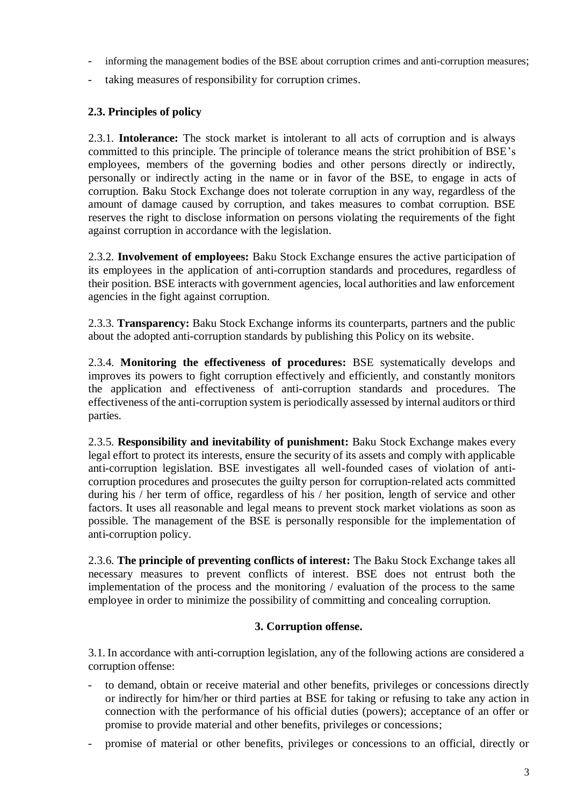- informing the management bodies of the BSE about corruption crimes and anti-corruption measures;
- taking measures of responsibility for corruption crimes.

# **2.3. Principles of policy**

2.3.1. **Intolerance:** The stock market is intolerant to all acts of corruption and is always committed to this principle. The principle of tolerance means the strict prohibition of BSE's employees, members of the governing bodies and other persons directly or indirectly, personally or indirectly acting in the name or in favor of the BSE, to engage in acts of corruption. Baku Stock Exchange does not tolerate corruption in any way, regardless of the amount of damage caused by corruption, and takes measures to combat corruption. BSE reserves the right to disclose information on persons violating the requirements of the fight against corruption in accordance with the legislation.

2.3.2. **Involvement of employees:** Baku Stock Exchange ensures the active participation of its employees in the application of anti-corruption standards and procedures, regardless of their position. BSE interacts with government agencies, local authorities and law enforcement agencies in the fight against corruption.

2.3.3. **Transparency:** Baku Stock Exchange informs its counterparts, partners and the public about the adopted anti-corruption standards by publishing this Policy on its website.

2.3.4. **Monitoring the effectiveness of procedures:** BSE systematically develops and improves its powers to fight corruption effectively and efficiently, and constantly monitors the application and effectiveness of anti-corruption standards and procedures. The effectiveness of the anti-corruption system is periodically assessed by internal auditors or third parties.

2.3.5. **Responsibility and inevitability of punishment:** Baku Stock Exchange makes every legal effort to protect its interests, ensure the security of its assets and comply with applicable anti-corruption legislation. BSE investigates all well-founded cases of violation of anticorruption procedures and prosecutes the guilty person for corruption-related acts committed during his / her term of office, regardless of his / her position, length of service and other factors. It uses all reasonable and legal means to prevent stock market violations as soon as possible. The management of the BSE is personally responsible for the implementation of anti-corruption policy.

2.3.6. **The principle of preventing conflicts of interest:** The Baku Stock Exchange takes all necessary measures to prevent conflicts of interest. BSE does not entrust both the implementation of the process and the monitoring / evaluation of the process to the same employee in order to minimize the possibility of committing and concealing corruption.

### **3. Corruption offense.**

3.1. In accordance with anti-corruption legislation, any of the following actions are considered a corruption offense:

- to demand, obtain or receive material and other benefits, privileges or concessions directly or indirectly for him/her or third parties at BSE for taking or refusing to take any action in connection with the performance of his official duties (powers); acceptance of an offer or promise to provide material and other benefits, privileges or concessions;
- promise of material or other benefits, privileges or concessions to an official, directly or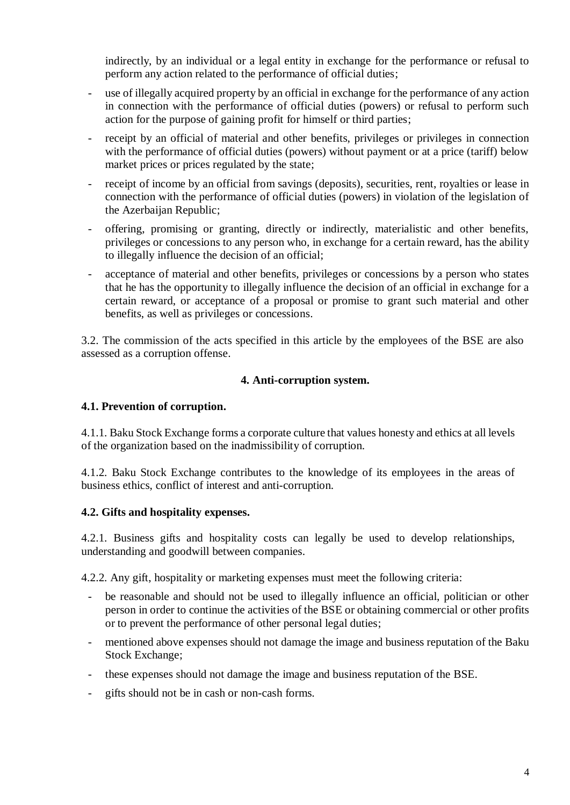indirectly, by an individual or a legal entity in exchange for the performance or refusal to perform any action related to the performance of official duties;

- use of illegally acquired property by an official in exchange for the performance of any action in connection with the performance of official duties (powers) or refusal to perform such action for the purpose of gaining profit for himself or third parties;
- receipt by an official of material and other benefits, privileges or privileges in connection with the performance of official duties (powers) without payment or at a price (tariff) below market prices or prices regulated by the state;
- receipt of income by an official from savings (deposits), securities, rent, royalties or lease in connection with the performance of official duties (powers) in violation of the legislation of the Azerbaijan Republic;
- offering, promising or granting, directly or indirectly, materialistic and other benefits, privileges or concessions to any person who, in exchange for a certain reward, has the ability to illegally influence the decision of an official;
- acceptance of material and other benefits, privileges or concessions by a person who states that he has the opportunity to illegally influence the decision of an official in exchange for a certain reward, or acceptance of a proposal or promise to grant such material and other benefits, as well as privileges or concessions.

3.2. The commission of the acts specified in this article by the employees of the BSE are also assessed as a corruption offense.

# **4. Anti-corruption system.**

### **4.1. Prevention of corruption.**

4.1.1. Baku Stock Exchange forms a corporate culture that values honesty and ethics at all levels of the organization based on the inadmissibility of corruption.

4.1.2. Baku Stock Exchange contributes to the knowledge of its employees in the areas of business ethics, conflict of interest and anti-corruption.

### **4.2. Gifts and hospitality expenses.**

4.2.1. Business gifts and hospitality costs can legally be used to develop relationships, understanding and goodwill between companies.

4.2.2. Any gift, hospitality or marketing expenses must meet the following criteria:

- be reasonable and should not be used to illegally influence an official, politician or other person in order to continue the activities of the BSE or obtaining commercial or other profits or to prevent the performance of other personal legal duties;
- mentioned above expenses should not damage the image and business reputation of the Baku Stock Exchange;
- these expenses should not damage the image and business reputation of the BSE.
- gifts should not be in cash or non-cash forms.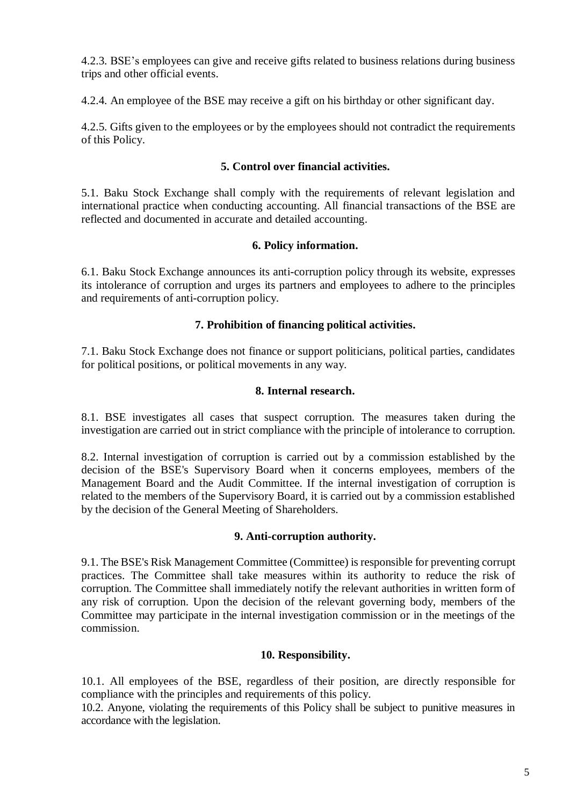4.2.3. BSE's employees can give and receive gifts related to business relations during business trips and other official events.

4.2.4. An employee of the BSE may receive a gift on his birthday or other significant day.

4.2.5. Gifts given to the employees or by the employees should not contradict the requirements of this Policy.

## **5. Control over financial activities.**

5.1. Baku Stock Exchange shall comply with the requirements of relevant legislation and international practice when conducting accounting. All financial transactions of the BSE are reflected and documented in accurate and detailed accounting.

### **6. Policy information.**

6.1. Baku Stock Exchange announces its anti-corruption policy through its website, expresses its intolerance of corruption and urges its partners and employees to adhere to the principles and requirements of anti-corruption policy.

# **7. Prohibition of financing political activities.**

7.1. Baku Stock Exchange does not finance or support politicians, political parties, candidates for political positions, or political movements in any way.

### **8. Internal research.**

8.1. BSE investigates all cases that suspect corruption. The measures taken during the investigation are carried out in strict compliance with the principle of intolerance to corruption.

8.2. Internal investigation of corruption is carried out by a commission established by the decision of the BSE's Supervisory Board when it concerns employees, members of the Management Board and the Audit Committee. If the internal investigation of corruption is related to the members of the Supervisory Board, it is carried out by a commission established by the decision of the General Meeting of Shareholders.

### **9. Anti-corruption authority.**

9.1. The BSE's Risk Management Committee (Committee) is responsible for preventing corrupt practices. The Committee shall take measures within its authority to reduce the risk of corruption. The Committee shall immediately notify the relevant authorities in written form of any risk of corruption. Upon the decision of the relevant governing body, members of the Committee may participate in the internal investigation commission or in the meetings of the commission.

### **10. Responsibility.**

10.1. All employees of the BSE, regardless of their position, are directly responsible for compliance with the principles and requirements of this policy.

10.2. Anyone, violating the requirements of this Policy shall be subject to punitive measures in accordance with the legislation.